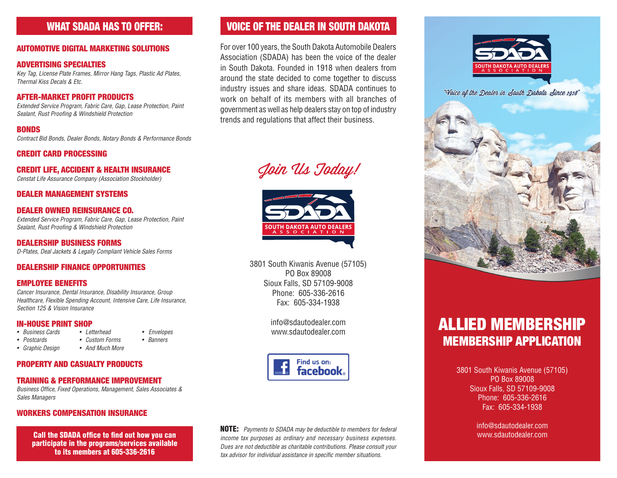## WHAT SDADA HAS TO OFFER:

#### AUTOMOTIVE DIGITAL MARKETING SOLUTIONS

#### ADVERTISING SPECIALTIES

*Key Tag, License Plate Frames, Mirror Hang Tags, Plastic Ad Plates, Thermal Kiss Decals & Etc.*

#### AFTER-MARKET PROFIT PRODUCTS

*Extended Service Program, Fabric Care, Gap, Lease Protection, Paint Sealant, Rust Proofing & Windshield Protection*

#### **RONDS**

*Contract Bid Bonds, Dealer Bonds, Notary Bonds & Performance Bonds*

#### CREDIT CARD PROCESSING

#### CREDIT LIFE, ACCIDENT & HEALTH INSURANCE

*Censtat Life Assurance Company (Association Stockholder)*

#### DEALER MANAGEMENT SYSTEMS

#### DEALER OWNED REINSURANCE CO.

*Extended Service Program, Fabric Care, Gap, Lease Protection, Paint Sealant, Rust Proofing & Windshield Protection*

DEALERSHIP BUSINESS FORMS *D-Plates, Deal Jackets & Legally Compliant Vehicle Sales Forms*

#### DEALERSHIP FINANCE OPPORTUNITIES

#### EMPLOYEE BENEFITS

*Cancer Insurance, Dental Insurance, Disability Insurance, Group Healthcare, Flexible Spending Account, Intensive Care, Life Insurance, Section 125 & Vision Insurance*

## **IN-HOUSE PRINT SHOP**<br>• Business Cards • Letterhead

- *Business Cards • Letterhead Envelopes*
- *• Postcards • Custom Forms • Banners*
- *• Graphic Design • And Much More*

#### PROPERTY AND CASUALTY PRODUCTS

#### TRAINING & PERFORMANCE IMPROVEMENT

*Business Office, Fixed Operations, Management, Sales Associates & Sales Managers*

#### WORKERS COMPENSATION INSURANCE

Call the SDADA office to find out how you can participate in the programs/services available to its members at 605-336-2616

## VOICE OF THE DEALER IN SOUTH DAKOTA

For over 100 years, the South Dakota Automobile Dealers Association (SDADA) has been the voice of the dealer in South Dakota. Founded in 1918 when dealers from around the state decided to come together to discuss industry issues and share ideas. SDADA continues to work on behalf of its members with all branches of government as well as help dealers stay on top of industry trends and regulations that affect their business.

Join Us Today!



3801 South Kiwanis Avenue (57105) PO Box 89008 Sioux Falls, SD 57109-9008 Phone: 605-336-2616 Fax: 605-334-1938

> info@sdautodealer.com www.sdautodealer.com



NOTE: *Payments to SDADA may be deductible to members for federal income tax purposes as ordinary and necessary business expenses. Dues are not deductible as charitable contributions. Please consult your tax advisor for individual assistance in specific member situations.*



"Voice of the Dealer in South Dakota Since 1918"



# ALLIED MEMBERSHIP MEMBERSHIP APPLICATION

3801 South Kiwanis Avenue (57105) PO Box 89008 Sioux Falls, SD 57109-9008 Phone: 605-336-2616 Fax: 605-334-1938

> info@sdautodealer.com www.sdautodealer.com